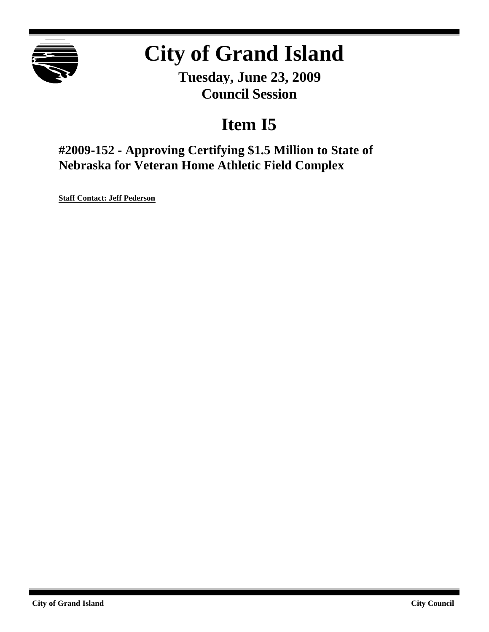

# **City of Grand Island**

**Tuesday, June 23, 2009 Council Session**

## **Item I5**

**#2009-152 - Approving Certifying \$1.5 Million to State of Nebraska for Veteran Home Athletic Field Complex**

**Staff Contact: Jeff Pederson**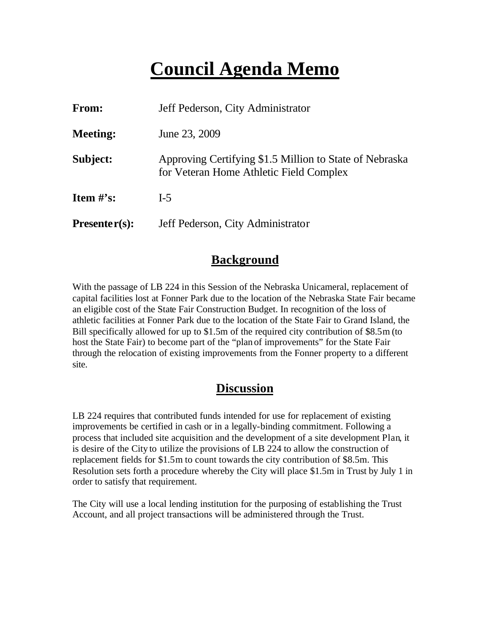### **Council Agenda Memo**

| From:                          | Jeff Pederson, City Administrator                                                                  |  |
|--------------------------------|----------------------------------------------------------------------------------------------------|--|
| <b>Meeting:</b>                | June 23, 2009                                                                                      |  |
| Subject:                       | Approving Certifying \$1.5 Million to State of Nebraska<br>for Veteran Home Athletic Field Complex |  |
| <b>Item <math>\#</math>'s:</b> | $I-5$                                                                                              |  |
| $Presenter(s):$                | Jeff Pederson, City Administrator                                                                  |  |

#### **Background**

With the passage of LB 224 in this Session of the Nebraska Unicameral, replacement of capital facilities lost at Fonner Park due to the location of the Nebraska State Fair became an eligible cost of the State Fair Construction Budget. In recognition of the loss of athletic facilities at Fonner Park due to the location of the State Fair to Grand Island, the Bill specifically allowed for up to \$1.5m of the required city contribution of \$8.5m (to host the State Fair) to become part of the "plan of improvements" for the State Fair through the relocation of existing improvements from the Fonner property to a different site.

#### **Discussion**

LB 224 requires that contributed funds intended for use for replacement of existing improvements be certified in cash or in a legally-binding commitment. Following a process that included site acquisition and the development of a site development Plan, it is desire of the City to utilize the provisions of LB 224 to allow the construction of replacement fields for \$1.5m to count towards the city contribution of \$8.5m. This Resolution sets forth a procedure whereby the City will place \$1.5m in Trust by July 1 in order to satisfy that requirement.

The City will use a local lending institution for the purposing of establishing the Trust Account, and all project transactions will be administered through the Trust.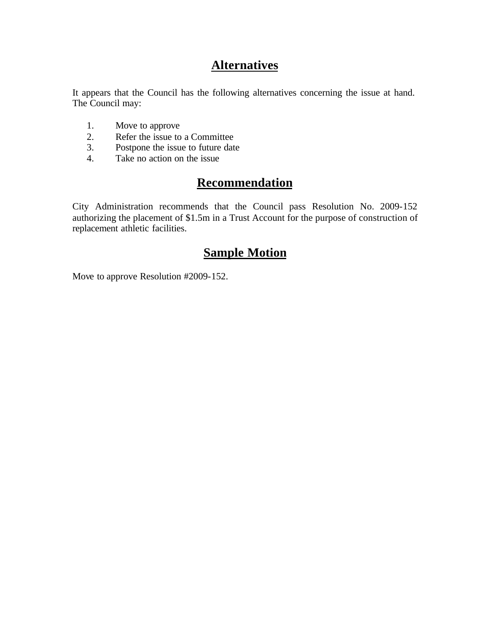### **Alternatives**

It appears that the Council has the following alternatives concerning the issue at hand. The Council may:

- 1. Move to approve
- 2. Refer the issue to a Committee<br>3. Postpone the issue to future date
- Postpone the issue to future date
- 4. Take no action on the issue

#### **Recommendation**

City Administration recommends that the Council pass Resolution No. 2009-152 authorizing the placement of \$1.5m in a Trust Account for the purpose of construction of replacement athletic facilities.

### **Sample Motion**

Move to approve Resolution #2009-152.